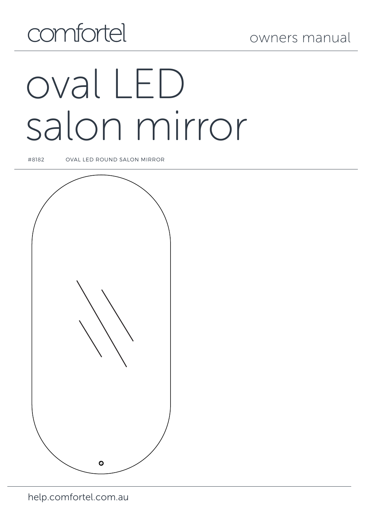

# comfortel oval LED salon mirror

#8182 OVAL LED ROUND SALON MIRROR

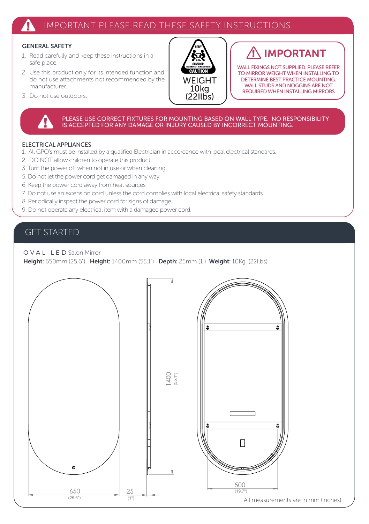#### IMPORTANT PLEASE READ THESE SAFETY INSTRUCTIONS

#### GENERAL SAFETY

- 1. Read carefully and keep these instructions in a safe place.
- 2. Use this product only for its intended function and do not use attachments not recommended by the manufacturer.
- 3. Do not use outdoors.



## IMPORTANT

WALL FIXINGS NOT SUPPLIED. PLEASE REFER TO MIRROR WEIGHT WHEN INSTALLING TO DETERMINE BEST PRACTICE MOUNTING. WALL STUDS AND NOGGINS ARE NOT REQUIRED WHEN INSTALLING MIRRORS

PLEASE USE CORRECT FIXTURES FOR MOUNTING BASED ON WALL TYPE. NO RESPONSIBILITY IS ACCEPTED FOR ANY DAMAGE OR INJURY CAUSED BY INCORRECT MOUNTING.

#### ELECTRICAL APPLIANCES

- 1. All GPO's must be installed by a qualified Electrician in accordance with local electrical standards.
- 2. DO NOT allow children to operate this product.
- 3. Turn the power off when not in use or when cleaning.
- 5. Do not let the power cord get damaged in any way.
- 6. Keep the power cord away from heat sources.
- 7. Do not use an extension cord unless the cord complies with local electrical safety standards.
- 8. Periodically inspect the power cord for signs of damage.
- 9. Do not operate any electrical item with a damaged power cord.

#### GET STARTED

#### OVAL LED Salon Mirror

Height: 650mm (25.6") Height: 1400mm (55.1") Depth: 25mm (1") Weight: 10Kg (22Ilbs)

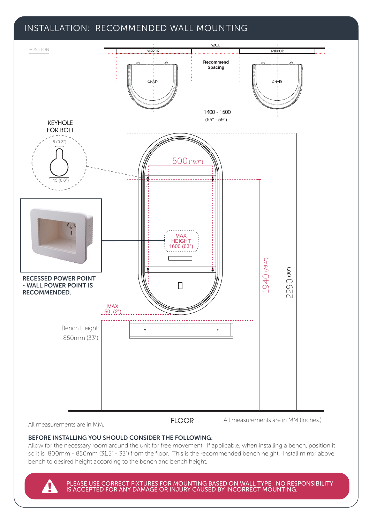### INSTALLATION: RECOMMENDED WALL MOUNTING



All measurements are in MM.

**FLOOR** 

All measurements are in MM (Inches.)

#### BEFORE INSTALLING YOU SHOULD CONSIDER THE FOLLOWING:

Allow for the necessary room around the unit for free movement. If applicable, when installing a bench, position it so it is 800mm - 850mm (31.5" - 33") from the floor. This is the recommended bench height. Install mirror above bench to desired height according to the bench and bench height.

PLEASE USE CORRECT FIXTURES FOR MOUNTING BASED ON WALL TYPE. NO RESPONSIBILITY IS ACCEPTED FOR ANY DAMAGE OR INJURY CAUSED BY INCORRECT MOUNTING.